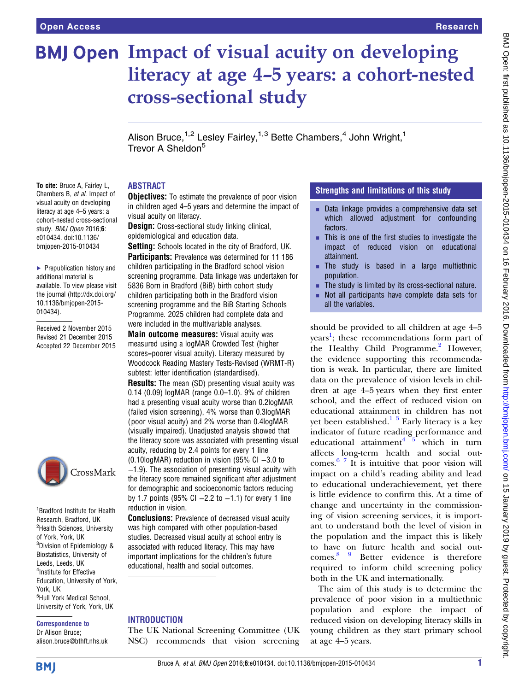e010434. doi:10.1136/ bmjopen-2015-010434

[010434\)](http://dx.doi.org/10.1136/bmjopen-2015-010434).

▶ Prepublication history and additional material is available. To view please visit the journal [\(http://dx.doi.org/](http://dx.doi.org/10.1136/bmjopen-2015-010434) [10.1136/bmjopen-2015-](http://dx.doi.org/10.1136/bmjopen-2015-010434)

Received 2 November 2015 Revised 21 December 2015 Accepted 22 December 2015

# **BMJ Open Impact of visual acuity on developing** literacy at age 4–5 years: a cohort-nested cross-sectional study

Alison Bruce,<sup>1,2</sup> Lesley Fairley,<sup>1,3</sup> Bette Chambers,<sup>4</sup> John Wright,<sup>1</sup> Trevor A Sheldon<sup>5</sup>

## ABSTRACT

To cite: Bruce A, Fairley L, Chambers B, et al. Impact of visual acuity on developing literacy at age 4–5 years: a cohort-nested cross-sectional study. BMJ Open 2016;6: **Objectives:** To estimate the prevalence of poor vision in children aged 4–5 years and determine the impact of visual acuity on literacy. **Design:** Cross-sectional study linking clinical,

epidemiological and education data.

Setting: Schools located in the city of Bradford, UK. Participants: Prevalence was determined for 11 186 children participating in the Bradford school vision screening programme. Data linkage was undertaken for 5836 Born in Bradford (BiB) birth cohort study children participating both in the Bradford vision screening programme and the BiB Starting Schools Programme. 2025 children had complete data and were included in the multivariable analyses.

**Main outcome measures:** Visual acuity was measured using a logMAR Crowded Test (higher scores=poorer visual acuity). Literacy measured by Woodcock Reading Mastery Tests-Revised (WRMT-R) subtest: letter identification (standardised).

**Results:** The mean (SD) presenting visual acuity was 0.14 (0.09) logMAR (range 0.0–1.0). 9% of children had a presenting visual acuity worse than 0.2logMAR (failed vision screening), 4% worse than 0.3logMAR ( poor visual acuity) and 2% worse than 0.4logMAR (visually impaired). Unadjusted analysis showed that the literacy score was associated with presenting visual acuity, reducing by 2.4 points for every 1 line (0.10logMAR) reduction in vision (95% CI −3.0 to

−1.9). The association of presenting visual acuity with the literacy score remained significant after adjustment for demographic and socioeconomic factors reducing by 1.7 points (95% CI −2.2 to −1.1) for every 1 line reduction in vision.

**Conclusions:** Prevalence of decreased visual acuity was high compared with other population-based studies. Decreased visual acuity at school entry is associated with reduced literacy. This may have important implications for the children's future educational, health and social outcomes.

## INTRODUCTION

The UK National Screening Committee (UK NSC) recommends that vision screening

# Strengths and limitations of this study

- $\blacksquare$  Data linkage provides a comprehensive data set which allowed adjustment for confounding factors.
- **EXTERCH This is one of the first studies to investigate the** impact of reduced vision on educational attainment.
- $\blacksquare$  The study is based in a large multiethnic population.
- The study is limited by its cross-sectional nature. Not all participants have complete data sets for all the variables.

should be provided to all children at age 4–5 years<sup>[1](#page-6-0)</sup>; these recommendations form part of the Healthy Child Programme. $<sup>2</sup>$  However,</sup> the evidence supporting this recommendation is weak. In particular, there are limited data on the prevalence of vision levels in children at age 4–5 years when they first enter school, and the effect of reduced vision on educational attainment in children has not yet been established.<sup>[1](#page-6-0)</sup>  $\frac{3}{5}$  Early literacy is a key indicator of future reading performance and<br>educational attainment<sup>4</sup>  $5$  which in turn educational attainment<sup>4</sup> affects long-term health and social outcomes. [6 7](#page-7-0) It is intuitive that poor vision will impact on a child's reading ability and lead to educational underachievement, yet there is little evidence to confirm this. At a time of change and uncertainty in the commissioning of vision screening services, it is important to understand both the level of vision in the population and the impact this is likely to have on future health and social outcomes. [8 9](#page-7-0) Better evidence is therefore required to inform child screening policy both in the UK and internationally.

The aim of this study is to determine the prevalence of poor vision in a multiethnic population and explore the impact of reduced vision on developing literacy skills in young children as they start primary school at age 4–5 years.

CrossMark

1 Bradford Institute for Health Research, Bradford, UK <sup>2</sup>Health Sciences, University of York, York, UK 3 Division of Epidemiology & Biostatistics, University of Leeds, Leeds, UK 4 Institute for Effective Education, University of York, York, UK 5 Hull York Medical School, University of York, York, UK

#### Correspondence to Dr Alison Bruce;

alison.bruce@bthft.nhs.uk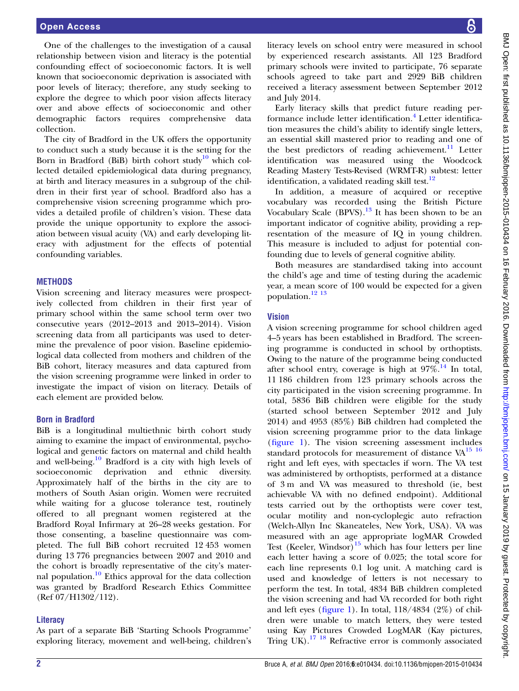One of the challenges to the investigation of a causal relationship between vision and literacy is the potential confounding effect of socioeconomic factors. It is well known that socioeconomic deprivation is associated with poor levels of literacy; therefore, any study seeking to explore the degree to which poor vision affects literacy over and above effects of socioeconomic and other demographic factors requires comprehensive data collection.

The city of Bradford in the UK offers the opportunity to conduct such a study because it is the setting for the Born in Bradford (BiB) birth cohort study<sup>[10](#page-7-0)</sup> which collected detailed epidemiological data during pregnancy, at birth and literacy measures in a subgroup of the children in their first year of school. Bradford also has a comprehensive vision screening programme which provides a detailed profile of children's vision. These data provide the unique opportunity to explore the association between visual acuity (VA) and early developing literacy with adjustment for the effects of potential confounding variables.

#### **METHODS**

Vision screening and literacy measures were prospectively collected from children in their first year of primary school within the same school term over two consecutive years (2012–2013 and 2013–2014). Vision screening data from all participants was used to determine the prevalence of poor vision. Baseline epidemiological data collected from mothers and children of the BiB cohort, literacy measures and data captured from the vision screening programme were linked in order to investigate the impact of vision on literacy. Details of each element are provided below.

#### Born in Bradford

BiB is a longitudinal multiethnic birth cohort study aiming to examine the impact of environmental, psychological and genetic factors on maternal and child health and well-being.<sup>[10](#page-7-0)</sup> Bradford is a city with high levels of socioeconomic deprivation and ethnic diversity. Approximately half of the births in the city are to mothers of South Asian origin. Women were recruited while waiting for a glucose tolerance test, routinely offered to all pregnant women registered at the Bradford Royal Infirmary at 26–28 weeks gestation. For those consenting, a baseline questionnaire was completed. The full BiB cohort recruited 12 453 women during 13 776 pregnancies between 2007 and 2010 and the cohort is broadly representative of the city's mater-nal population.<sup>[10](#page-7-0)</sup> Ethics approval for the data collection was granted by Bradford Research Ethics Committee (Ref 07/H1302/112).

#### **Literacy**

As part of a separate BiB 'Starting Schools Programme' exploring literacy, movement and well-being, children's literacy levels on school entry were measured in school by experienced research assistants. All 123 Bradford primary schools were invited to participate, 76 separate schools agreed to take part and 2929 BiB children received a literacy assessment between September 2012 and July 2014.

Early literacy skills that predict future reading per-formance include letter identification.<sup>[4](#page-7-0)</sup> Letter identification measures the child's ability to identify single letters, an essential skill mastered prior to reading and one of the best predictors of reading achievement.<sup>[11](#page-7-0)</sup> Letter identification was measured using the Woodcock Reading Mastery Tests-Revised (WRMT-R) subtest: letter identification, a validated reading skill test. $12$ 

In addition, a measure of acquired or receptive vocabulary was recorded using the British Picture Vocabulary Scale (BPVS).[13](#page-7-0) It has been shown to be an important indicator of cognitive ability, providing a representation of the measure of IQ in young children. This measure is included to adjust for potential confounding due to levels of general cognitive ability.

Both measures are standardised taking into account the child's age and time of testing during the academic year, a mean score of 100 would be expected for a given population. $\frac{12}{13}$ 

## Vision

A vision screening programme for school children aged 4–5 years has been established in Bradford. The screening programme is conducted in school by orthoptists. Owing to the nature of the programme being conducted after school entry, coverage is high at  $97\%$ .<sup>[14](#page-7-0)</sup> In total, 11 186 children from 123 primary schools across the city participated in the vision screening programme. In total, 5836 BiB children were eligible for the study (started school between September 2012 and July 2014) and 4953 (85%) BiB children had completed the vision screening programme prior to the data linkage (fi[gure 1\)](#page-2-0). The vision screening assessment includes standard protocols for measurement of distance VA<sup>15</sup> <sup>16</sup> right and left eyes, with spectacles if worn. The VA test was administered by orthoptists, performed at a distance of 3 m and VA was measured to threshold (ie, best achievable VA with no defined endpoint). Additional tests carried out by the orthoptists were cover test, ocular motility and non-cycloplegic auto refraction (Welch-Allyn Inc Skaneateles, New York, USA). VA was measured with an age appropriate logMAR Crowded Test (Keeler, Windsor)<sup>[15](#page-7-0)</sup> which has four letters per line each letter having a score of 0.025; the total score for each line represents 0.1 log unit. A matching card is used and knowledge of letters is not necessary to perform the test. In total, 4834 BiB children completed the vision screening and had VA recorded for both right and left eyes (fi[gure 1\)](#page-2-0). In total,  $118/4834$  (2%) of children were unable to match letters, they were tested using Kay Pictures Crowded LogMAR (Kay pictures, Tring UK).<sup>[17 18](#page-7-0)</sup> Refractive error is commonly associated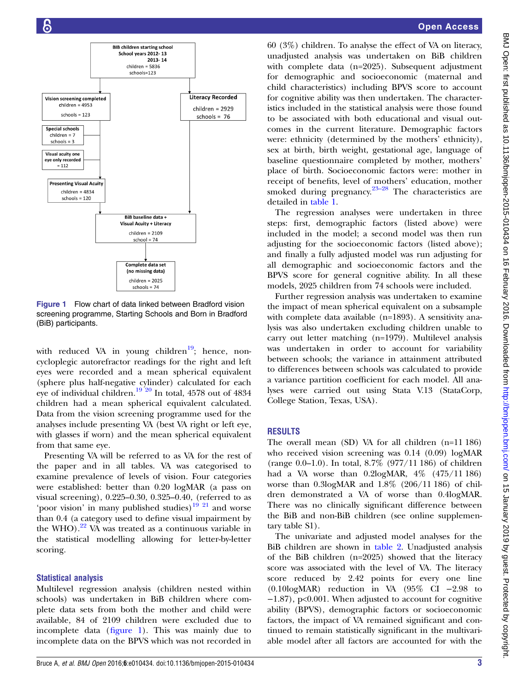<span id="page-2-0"></span>

Figure 1 Flow chart of data linked between Bradford vision screening programme, Starting Schools and Born in Bradford (BiB) participants.

with reduced VA in young children<sup>19</sup>; hence, noncycloplegic autorefractor readings for the right and left eyes were recorded and a mean spherical equivalent (sphere plus half-negative cylinder) calculated for each eye of individual children.<sup>19'20</sup> In total, 4578 out of 4834 children had a mean spherical equivalent calculated. Data from the vision screening programme used for the analyses include presenting VA (best VA right or left eye, with glasses if worn) and the mean spherical equivalent from that same eye.

Presenting VA will be referred to as VA for the rest of the paper and in all tables. VA was categorised to examine prevalence of levels of vision. Four categories were established: better than 0.20 logMAR (a pass on visual screening), 0.225–0.30, 0.325–0.40, (referred to as 'poor vision' in many published studies) $1921$  and worse than 0.4 (a category used to define visual impairment by the WHO). $^{22}$  $^{22}$  $^{22}$  VA was treated as a continuous variable in the statistical modelling allowing for letter-by-letter scoring.

## Statistical analysis

Multilevel regression analysis (children nested within schools) was undertaken in BiB children where complete data sets from both the mother and child were available, 84 of 2109 children were excluded due to incomplete data (figure 1). This was mainly due to incomplete data on the BPVS which was not recorded in

## Open Access

60 (3%) children. To analyse the effect of VA on literacy, unadjusted analysis was undertaken on BiB children with complete data (n=2025). Subsequent adjustment for demographic and socioeconomic (maternal and child characteristics) including BPVS score to account for cognitive ability was then undertaken. The characteristics included in the statistical analysis were those found to be associated with both educational and visual outcomes in the current literature. Demographic factors were: ethnicity (determined by the mothers' ethnicity), sex at birth, birth weight, gestational age, language of baseline questionnaire completed by mother, mothers' place of birth. Socioeconomic factors were: mother in receipt of benefits, level of mothers' education, mother smoked during pregnancy.<sup>[23](#page-7-0)–28</sup> The characteristics are detailed in [table 1.](#page-3-0)

The regression analyses were undertaken in three steps: first, demographic factors (listed above) were included in the model; a second model was then run adjusting for the socioeconomic factors (listed above); and finally a fully adjusted model was run adjusting for all demographic and socioeconomic factors and the BPVS score for general cognitive ability. In all these models, 2025 children from 74 schools were included.

Further regression analysis was undertaken to examine the impact of mean spherical equivalent on a subsample with complete data available (n=1893). A sensitivity analysis was also undertaken excluding children unable to carry out letter matching (n=1979). Multilevel analysis was undertaken in order to account for variability between schools; the variance in attainment attributed to differences between schools was calculated to provide a variance partition coefficient for each model. All analyses were carried out using Stata V.13 (StataCorp, College Station, Texas, USA).

## RESULTS

The overall mean (SD) VA for all children (n=11 186) who received vision screening was 0.14 (0.09) logMAR (range 0.0–1.0). In total, 8.7% (977/11 186) of children had a VA worse than 0.2logMAR, 4% (475/11 186) worse than 0.3logMAR and 1.8% (206/11 186) of children demonstrated a VA of worse than 0.4logMAR. There was no clinically significant difference between the BiB and non-BiB children (see online supplementary table S1).

The univariate and adjusted model analyses for the BiB children are shown in [table 2.](#page-4-0) Unadjusted analysis of the BiB children (n=2025) showed that the literacy score was associated with the level of VA. The literacy score reduced by 2.42 points for every one line (0.10logMAR) reduction in VA (95% CI −2.98 to −1.87), p<0.001. When adjusted to account for cognitive ability (BPVS), demographic factors or socioeconomic factors, the impact of VA remained significant and continued to remain statistically significant in the multivariable model after all factors are accounted for with the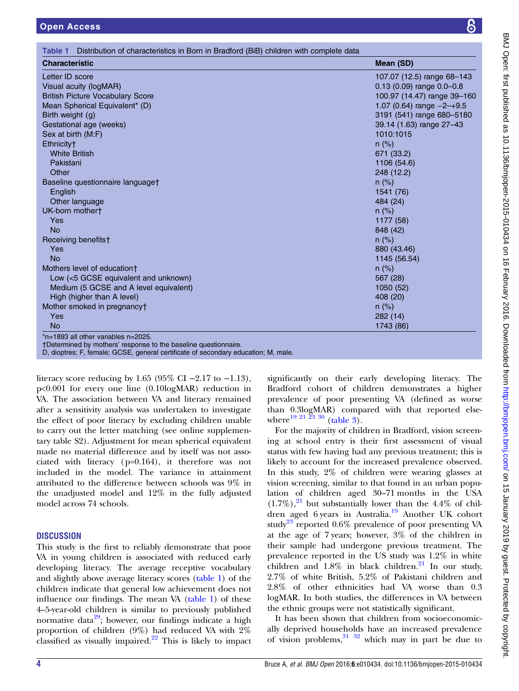<span id="page-3-0"></span>

| <b>Open Access</b>                                                                                      | 6                                                             |
|---------------------------------------------------------------------------------------------------------|---------------------------------------------------------------|
| Distribution of characteristics in Born in Bradford (BiB) children with complete data<br><b>Table 1</b> |                                                               |
| <b>Characteristic</b>                                                                                   | <b>Mean (SD)</b>                                              |
| Letter ID score<br>Visual acuity (logMAR)                                                               | 107.07 (12.5) range 68-143<br>$0.13$ (0.09) range $0.0 - 0.8$ |
| <b>British Picture Vocabulary Score</b>                                                                 | 100.97 (14.47) range 39-160                                   |
| Mean Spherical Equivalent* (D)                                                                          | 1.07 (0.64) range $-2$ -+9.5                                  |
| Birth weight (g)                                                                                        | 3191 (541) range 680-5180                                     |
| Gestational age (weeks)                                                                                 | 39.14 (1.63) range 27-43                                      |
| Sex at birth (M:F)                                                                                      | 1010:1015                                                     |
| Ethnicity <sup>+</sup>                                                                                  | $n$ (%)                                                       |
| <b>White British</b>                                                                                    | 671 (33.2)                                                    |
| Pakistani                                                                                               | 1106 (54.6)                                                   |
| Other                                                                                                   | 248 (12.2)                                                    |
| Baseline questionnaire languaget                                                                        | $n$ (%)                                                       |
| English                                                                                                 | 1541 (76)                                                     |
| Other language                                                                                          | 484 (24)                                                      |
| UK-born mother†                                                                                         | $n$ (%)                                                       |
| Yes                                                                                                     | 1177 (58)                                                     |
| <b>No</b>                                                                                               | 848 (42)                                                      |
| Receiving benefits†                                                                                     | $n$ (%)                                                       |
| Yes                                                                                                     | 880 (43.46)                                                   |
| <b>No</b>                                                                                               | 1145 (56.54)                                                  |
| Mothers level of education+                                                                             | $n$ (%)                                                       |
| Low (<5 GCSE equivalent and unknown)                                                                    | 567 (28)                                                      |
| Medium (5 GCSE and A level equivalent)                                                                  | 1050(52)                                                      |
| High (higher than A level)                                                                              | 408 (20)                                                      |
| Mother smoked in pregnancy†                                                                             | $n (\%)$                                                      |
| Yes                                                                                                     | 282(14)                                                       |

No 1743 (86)

\*n=1893 all other variables n=2025.

†Determined by mothers' response to the baseline questionnaire.

D, dioptres; F, female; GCSE, general certificate of secondary education; M, male.

literacy score reducing by 1.65 (95% CI  $-2.17$  to  $-1.13$ ), p<0.001 for every one line (0.10logMAR) reduction in VA. The association between VA and literacy remained after a sensitivity analysis was undertaken to investigate the effect of poor literacy by excluding children unable to carry out the letter matching (see online supplementary table S2). Adjustment for mean spherical equivalent made no material difference and by itself was not associated with literacy (p=0.164), it therefore was not included in the model. The variance in attainment attributed to the difference between schools was 9% in the unadjusted model and 12% in the fully adjusted model across 74 schools.

## **DISCUSSION**

This study is the first to reliably demonstrate that poor VA in young children is associated with reduced early developing literacy. The average receptive vocabulary and slightly above average literacy scores (table 1) of the children indicate that general low achievement does not influence our findings. The mean VA (table 1) of these 4–5-year-old children is similar to previously published normative data<sup>[29](#page-7-0)</sup>; however, our findings indicate a high proportion of children (9%) had reduced VA with 2% classified as visually impaired. $2^2$  This is likely to impact

significantly on their early developing literacy. The Bradford cohort of children demonstrates a higher prevalence of poor presenting VA (defined as worse than 0.3logMAR) compared with that reported elsewhere  $\frac{19\ 21\ 23\ 30}$  ([table 3](#page-6-0)).

For the majority of children in Bradford, vision screening at school entry is their first assessment of visual status with few having had any previous treatment; this is likely to account for the increased prevalence observed. In this study, 2% of children were wearing glasses at vision screening, similar to that found in an urban population of children aged 30–71 months in the USA  $(1.7\%)$ ,<sup>[21](#page-7-0)</sup> but substantially lower than the 4.4% of chil-dren aged 6 years in Australia.<sup>[19](#page-7-0)</sup> Another UK cohort study<sup>[23](#page-7-0)</sup> reported 0.6% prevalence of poor presenting VA at the age of 7 years; however, 3% of the children in their sample had undergone previous treatment. The prevalence reported in the US study was 1.2% in white children and  $1.8\%$  in black children.<sup>[21](#page-7-0)</sup> In our study, 2.7% of white British, 5.2% of Pakistani children and 2.8% of other ethnicities had VA worse than 0.3 logMAR. In both studies, the differences in VA between the ethnic groups were not statistically significant.

It has been shown that children from socioeconomically deprived households have an increased prevalence of vision problems,  $31^{32}$  which may in part be due to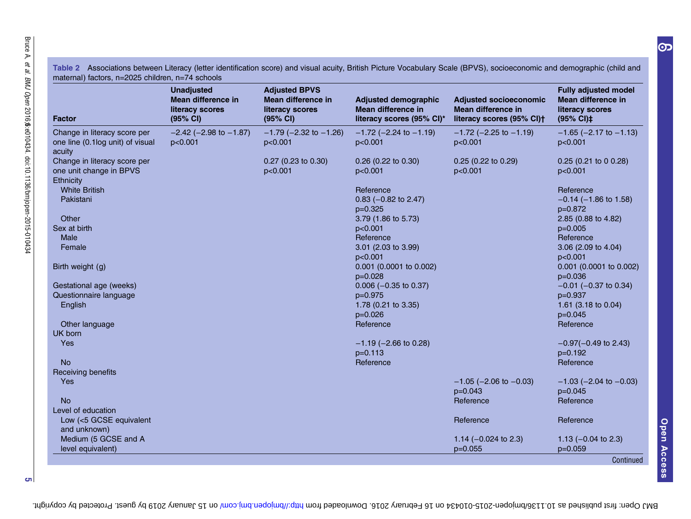| <b>Factor</b>                                                               | <b>Unadjusted</b><br>Mean difference in<br>literacy scores<br>(95% CI) | <b>Adjusted BPVS</b><br>Mean difference in<br>literacy scores<br>(95% CI) | <b>Adjusted demographic</b><br>Mean difference in<br>literacy scores (95% Cl)* | <b>Adjusted socioeconomic</b><br>Mean difference in<br>literacy scores (95% CI)+ | <b>Fully adjusted model</b><br>Mean difference in<br>literacy scores<br>(95% CI)‡      |
|-----------------------------------------------------------------------------|------------------------------------------------------------------------|---------------------------------------------------------------------------|--------------------------------------------------------------------------------|----------------------------------------------------------------------------------|----------------------------------------------------------------------------------------|
| Change in literacy score per<br>one line (0.1log unit) of visual<br>acuity  | $-2.42$ ( $-2.98$ to $-1.87$ )<br>p<0.001                              | $-1.79$ ( $-2.32$ to $-1.26$ )<br>p<0.001                                 | $-1.72$ (-2.24 to $-1.19$ )<br>p<0.001                                         | $-1.72$ ( $-2.25$ to $-1.19$ )<br>p<0.001                                        | $-1.65$ ( $-2.17$ to $-1.13$ )<br>p<0.001                                              |
| Change in literacy score per<br>one unit change in BPVS<br><b>Ethnicity</b> |                                                                        | 0.27 (0.23 to 0.30)<br>p<0.001                                            | 0.26 (0.22 to 0.30)<br>p<0.001                                                 | $0.25(0.22 \text{ to } 0.29)$<br>p<0.001                                         | $0.25$ (0.21 to 0 0.28)<br>p<0.001                                                     |
| <b>White British</b><br>Pakistani                                           |                                                                        |                                                                           | Reference<br>$0.83$ (-0.82 to 2.47)<br>$p=0.325$                               |                                                                                  | Reference<br>$-0.14$ ( $-1.86$ to 1.58)<br>p=0.872                                     |
| Other<br>Sex at birth<br><b>Male</b>                                        |                                                                        |                                                                           | 3.79 (1.86 to 5.73)<br>p<0.001<br>Reference                                    |                                                                                  | 2.85 (0.88 to 4.82)<br>$p=0.005$<br>Reference                                          |
| Female                                                                      |                                                                        |                                                                           | 3.01 (2.03 to 3.99)<br>p<0.001                                                 |                                                                                  | 3.06 (2.09 to 4.04)<br>p<0.001                                                         |
| Birth weight (g)                                                            |                                                                        |                                                                           | 0.001 (0.0001 to 0.002)<br>$p=0.028$                                           |                                                                                  | 0.001 (0.0001 to 0.002)<br>$p=0.036$                                                   |
| Gestational age (weeks)<br>Questionnaire language<br>English                |                                                                        |                                                                           | $0.006$ (-0.35 to 0.37)<br>$p=0.975$<br>1.78 (0.21 to 3.35)<br>$p=0.026$       |                                                                                  | $-0.01$ ( $-0.37$ to 0.34)<br>$p=0.937$<br>1.61 $(3.18 \text{ to } 0.04)$<br>$p=0.045$ |
| Other language<br>UK born                                                   |                                                                        |                                                                           | Reference                                                                      |                                                                                  | Reference                                                                              |
| Yes                                                                         |                                                                        |                                                                           | $-1.19$ ( $-2.66$ to 0.28)<br>$p=0.113$                                        |                                                                                  | $-0.97(-0.49)$ to 2.43)<br>$p=0.192$                                                   |
| <b>No</b><br>Receiving benefits                                             |                                                                        |                                                                           | Reference                                                                      |                                                                                  | Reference                                                                              |
| Yes                                                                         |                                                                        |                                                                           |                                                                                | $-1.05$ ( $-2.06$ to $-0.03$ )<br>$p=0.043$                                      | $-1.03$ ( $-2.04$ to $-0.03$ )<br>p=0.045                                              |
| <b>No</b><br>Level of education                                             |                                                                        |                                                                           |                                                                                | Reference                                                                        | Reference                                                                              |
| Low (<5 GCSE equivalent<br>and unknown)                                     |                                                                        |                                                                           |                                                                                | Reference                                                                        | Reference                                                                              |
| Medium (5 GCSE and A<br>level equivalent)                                   |                                                                        |                                                                           |                                                                                | 1.14 $(-0.024$ to 2.3)<br>$p=0.055$                                              | 1.13 $(-0.04 \text{ to } 2.3)$<br>p=0.059                                              |

<span id="page-4-0"></span>Table 2 Associations between Literacy (letter identification score) and visual acuity, British Picture Vocabulary Scale (BPVS), socioeconomic and demographic (child and maternal) factors, n=2025 children, n=74 schools

5

 $\Omega$ 

BMJ Open: first published as 10.1136/bm 10 February 2016. Downloaded from http://bmjopen.bm/ on 15 nonexy 2019 by guest. Protected by copyright.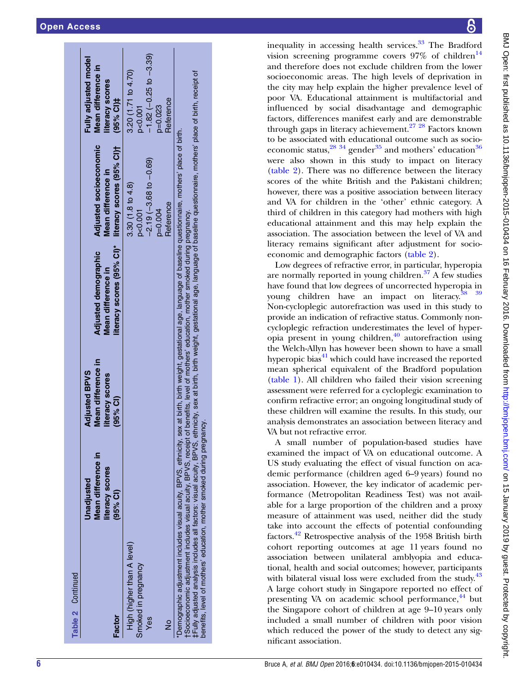| Table 2 Continued                                                                                                                                                                                                                                                                                                                                                                                                                                                                                        |                                                                   |                                                                             |                                                                                                          |                                                                                                     |                                                                              |
|----------------------------------------------------------------------------------------------------------------------------------------------------------------------------------------------------------------------------------------------------------------------------------------------------------------------------------------------------------------------------------------------------------------------------------------------------------------------------------------------------------|-------------------------------------------------------------------|-----------------------------------------------------------------------------|----------------------------------------------------------------------------------------------------------|-----------------------------------------------------------------------------------------------------|------------------------------------------------------------------------------|
| Factor                                                                                                                                                                                                                                                                                                                                                                                                                                                                                                   | Mean difference in<br>literacy scores<br>Unadjusted<br>$(95%$ CI) | Mean difference in<br><b>Adjusted BPVS</b><br>literacy scores<br>$(95%$ CI) | Adjusted demographic<br>Mean difference in                                                               | Adjusted socioeconomic<br>literacy scores (95% Cl)* literacy scores (95% Cl)+<br>Mean difference in | Fully adjusted model<br>Mean difference in<br>literacy scores<br>$(95%$ CI)‡ |
| High (higher than A level)                                                                                                                                                                                                                                                                                                                                                                                                                                                                               |                                                                   |                                                                             |                                                                                                          | $3.30(1.8\text{ to }4.8)$                                                                           | 3.20(1.71 to 4.70)                                                           |
| Smoked in pregnancy                                                                                                                                                                                                                                                                                                                                                                                                                                                                                      |                                                                   |                                                                             |                                                                                                          | p<0.001                                                                                             | p<0.001                                                                      |
| Yes                                                                                                                                                                                                                                                                                                                                                                                                                                                                                                      |                                                                   |                                                                             |                                                                                                          | $-2.19(-3.68 \text{ to } -0.69)$                                                                    | $-1.82$ $(-0.25$ to $-3.39)$                                                 |
|                                                                                                                                                                                                                                                                                                                                                                                                                                                                                                          |                                                                   |                                                                             |                                                                                                          | $p=0.004$                                                                                           | $p = 0.023$                                                                  |
| $\frac{1}{2}$                                                                                                                                                                                                                                                                                                                                                                                                                                                                                            |                                                                   |                                                                             |                                                                                                          | Reference                                                                                           | Reference                                                                    |
| ‡Fully adjusted analysis includes all factors: visual acuity, BPVS, etmicity, sex at birth, birth, bith, tigelight, gestational age, language of baseline questionnaire, mothers' place of birth, receipt of<br>t Socioeconomic adjustment includes visual acuity, BPVS, receipt of benefits, level of mothers' education, mother smoked during pregnancy.<br>benefits, level of mothers' education, mother smoked during pregnancy.<br>*Demographic adjustment includes visual acuity, BPVS, ethnicity, |                                                                   |                                                                             | sex at birth, birth weight, gestational age, language of baseline questionnaire, mothers' place of birth |                                                                                                     |                                                                              |

inequality in accessing health services. $33$  The Bradford vision screening programme covers  $97\%$  of children<sup>[14](#page-7-0)</sup> and therefore does not exclude children from the lower socioeconomic areas. The high levels of deprivation in the city may help explain the higher prevalence level of poor VA. Educational attainment is multifactorial and in fluenced by social disadvantage and demographic factors, differences manifest early and are demonstrable through gaps in literacy achievement.[27 28](#page-7-0) Factors known to be associated with educational outcome such as socioeconomic status, $^{28}$   $^{34}$  gender<sup>[35](#page-7-0)</sup> and mothers' education<sup>[36](#page-7-0)</sup> were also shown in this study to impact on literacy [\(table 2\)](#page-4-0). There was no difference between the literacy scores of the white British and the Pakistani children; however, there was a positive association between literacy and VA for children in the 'other ' ethnic category. A third of children in this category had mothers with high educational attainment and this may help explain the association. The association between the level of VA and literacy remains significant after adjustment for socioeconomic and demographic factors [\(table 2](#page-4-0)).

Low degrees of refractive error, in particular, hyperopia are normally reported in young children.<sup>37</sup> A few studies have found that low degrees of uncorrected hyperopia in young children have an impact on literacy.<sup>38</sup> <sup>39</sup> Non-cycloplegic autorefraction was used in this study to provide an indication of refractive status. Commonly noncycloplegic refraction underestimates the level of hyperopia present in young children, $\frac{40}{40}$  autorefraction using the Welch-Allyn has however been shown to have a small hyperopic bias $41$  which could have increased the reported mean spherical equivalent of the Bradford population [\(table 1](#page-3-0)). All children who failed their vision screening assessment were referred for a cycloplegic examination to con firm refractive error; an ongoing longitudinal study of these children will examine the results. In this study, our analysis demonstrates an association between literacy and VA but not refractive error.

A small number of population-based studies have examined the impact of VA on educational outcome. A US study evaluating the effect of visual function on academic performance (children aged 6–9 years) found no association. However, the key indicator of academic performance (Metropolitan Readiness Test) was not available for a large proportion of the children and a proxy measure of attainment was used, neither did the study take into account the effects of potential confounding factors.[42](#page-7-0) Retrospective analysis of the 1958 British birth cohort reporting outcomes at age 11 years found no association between unilateral amblyopia and educational, health and social outcomes; however, participants with bilateral visual loss were excluded from the study.<sup>[43](#page-7-0)</sup> A large cohort study in Singapore reported no effect of presenting VA on academic school performance,<sup>[44](#page-7-0)</sup> but the Singapore cohort of children at age 9 –10 years only included a small number of children with poor vision which reduced the power of the study to detect any significant association.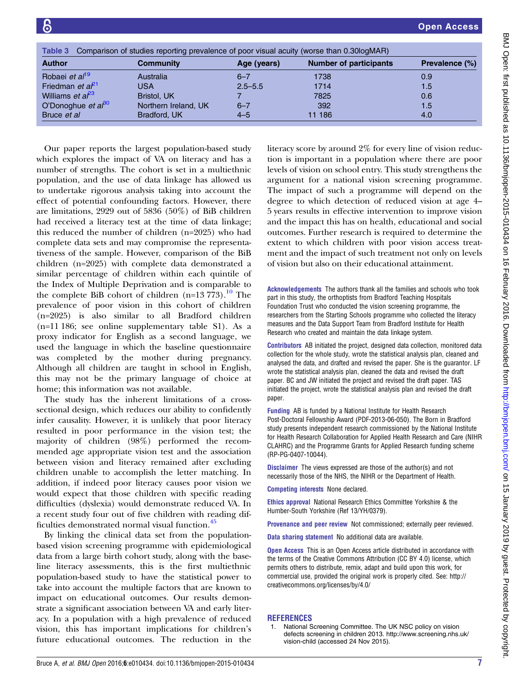<span id="page-6-0"></span>

| Comparison of studies reporting prevalence of poor visual acuity (worse than 0.30logMAR)<br>Table 3 |                          |             |                               |                |  |
|-----------------------------------------------------------------------------------------------------|--------------------------|-------------|-------------------------------|----------------|--|
| <b>Author</b>                                                                                       | Community<br>Age (years) |             | <b>Number of participants</b> | Prevalence (%) |  |
| Robaei et al <sup>19</sup>                                                                          | Australia                | $6 - 7$     | 1738                          | 0.9            |  |
| Friedman <i>et</i> $a^{21}$                                                                         | USA                      | $2.5 - 5.5$ | 1714                          | 1.5            |  |
| Williams <i>et a</i> $l^{23}$                                                                       | Bristol, UK              |             | 7825                          | 0.6            |  |
| O'Donoghue et $a^{\beta 0}$                                                                         | Northern Ireland, UK     | $6 - 7$     | 392                           | 1.5            |  |
| Bruce et al                                                                                         | Bradford, UK             | $4 - 5$     | 11 186                        | 4.0            |  |

Our paper reports the largest population-based study which explores the impact of VA on literacy and has a number of strengths. The cohort is set in a multiethnic population, and the use of data linkage has allowed us to undertake rigorous analysis taking into account the effect of potential confounding factors. However, there are limitations, 2929 out of 5836 (50%) of BiB children had received a literacy test at the time of data linkage; this reduced the number of children (n=2025) who had complete data sets and may compromise the representativeness of the sample. However, comparison of the BiB children (n=2025) with complete data demonstrated a similar percentage of children within each quintile of the Index of Multiple Deprivation and is comparable to the complete BiB cohort of children  $(n=13 773)$ .<sup>[10](#page-7-0)</sup> The prevalence of poor vision in this cohort of children (n=2025) is also similar to all Bradford children (n=11 186; see online supplementary table S1). As a proxy indicator for English as a second language, we used the language in which the baseline questionnaire was completed by the mother during pregnancy. Although all children are taught in school in English, this may not be the primary language of choice at home; this information was not available.

The study has the inherent limitations of a crosssectional design, which reduces our ability to confidently infer causality. However, it is unlikely that poor literacy resulted in poor performance in the vision test; the majority of children (98%) performed the recommended age appropriate vision test and the association between vision and literacy remained after excluding children unable to accomplish the letter matching. In addition, if indeed poor literacy causes poor vision we would expect that those children with specific reading difficulties (dyslexia) would demonstrate reduced VA. In a recent study four out of five children with reading difficulties demonstrated normal visual function.[45](#page-7-0)

By linking the clinical data set from the populationbased vision screening programme with epidemiological data from a large birth cohort study, along with the baseline literacy assessments, this is the first multiethnic population-based study to have the statistical power to take into account the multiple factors that are known to impact on educational outcomes. Our results demonstrate a significant association between VA and early literacy. In a population with a high prevalence of reduced vision, this has important implications for children's future educational outcomes. The reduction in the

literacy score by around 2% for every line of vision reduction is important in a population where there are poor levels of vision on school entry. This study strengthens the argument for a national vision screening programme. The impact of such a programme will depend on the degree to which detection of reduced vision at age 4– 5 years results in effective intervention to improve vision and the impact this has on health, educational and social outcomes. Further research is required to determine the extent to which children with poor vision access treatment and the impact of such treatment not only on levels of vision but also on their educational attainment.

Acknowledgements The authors thank all the families and schools who took part in this study, the orthoptists from Bradford Teaching Hospitals Foundation Trust who conducted the vision screening programme, the researchers from the Starting Schools programme who collected the literacy measures and the Data Support Team from Bradford Institute for Health Research who created and maintain the data linkage system.

Contributors AB initiated the project, designed data collection, monitored data collection for the whole study, wrote the statistical analysis plan, cleaned and analysed the data, and drafted and revised the paper. She is the guarantor. LF wrote the statistical analysis plan, cleaned the data and revised the draft paper. BC and JW initiated the project and revised the draft paper. TAS initiated the project, wrote the statistical analysis plan and revised the draft paper.

Funding AB is funded by a National Institute for Health Research Post-Doctoral Fellowship Award (PDF-2013-06-050). The Born in Bradford study presents independent research commissioned by the National Institute for Health Research Collaboration for Applied Health Research and Care (NIHR CLAHRC) and the Programme Grants for Applied Research funding scheme (RP-PG-0407-10044).

Disclaimer The views expressed are those of the author(s) and not necessarily those of the NHS, the NIHR or the Department of Health.

Competing interests None declared.

Ethics approval National Research Ethics Committee Yorkshire & the Humber-South Yorkshire (Ref 13/YH/0379).

Provenance and peer review Not commissioned; externally peer reviewed.

Data sharing statement No additional data are available.

**Open Access** This is an Open Access article distributed in accordance with the terms of the Creative Commons Attribution (CC BY 4.0) license, which permits others to distribute, remix, adapt and build upon this work, for commercial use, provided the original work is properly cited. See: [http://](http://creativecommons.org/licenses/by/4.0/) [creativecommons.org/licenses/by/4.0/](http://creativecommons.org/licenses/by/4.0/)

## **REFERENCES**

National Screening Committee. The UK NSC policy on vision defects screening in children 2013. [http://www.screening.nhs.uk/](http://www.screening.nhs.uk/vision-child) [vision-child](http://www.screening.nhs.uk/vision-child) (accessed 24 Nov 2015).